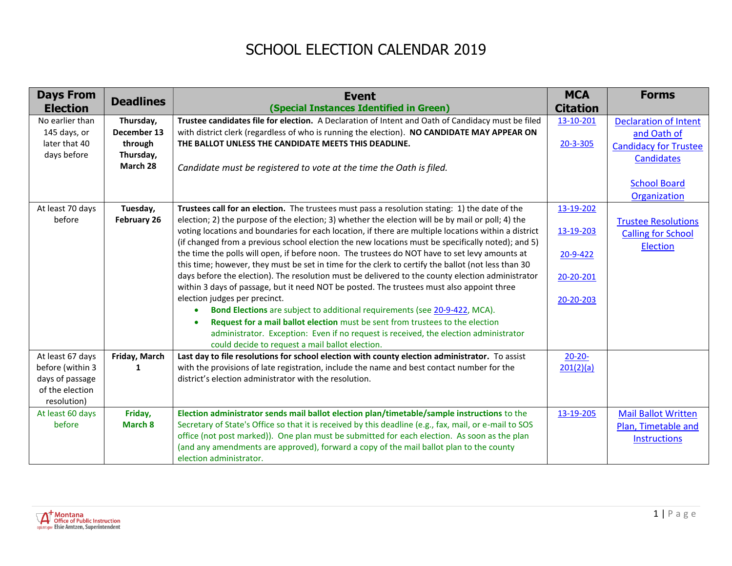## SCHOOL ELECTION CALENDAR 2019

| <b>Days From</b> | <b>Deadlines</b> | <b>Event</b>                                                                                                                                                                                  | <b>MCA</b>      | <b>Forms</b>                 |
|------------------|------------------|-----------------------------------------------------------------------------------------------------------------------------------------------------------------------------------------------|-----------------|------------------------------|
| <b>Election</b>  |                  | (Special Instances Identified in Green)                                                                                                                                                       | <b>Citation</b> |                              |
| No earlier than  | Thursday,        | Trustee candidates file for election. A Declaration of Intent and Oath of Candidacy must be filed                                                                                             | 13-10-201       | <b>Declaration of Intent</b> |
| 145 days, or     | December 13      | with district clerk (regardless of who is running the election). NO CANDIDATE MAY APPEAR ON                                                                                                   |                 | and Oath of                  |
| later that 40    | through          | THE BALLOT UNLESS THE CANDIDATE MEETS THIS DEADLINE.                                                                                                                                          | 20-3-305        | <b>Candidacy for Trustee</b> |
| days before      | Thursday,        |                                                                                                                                                                                               |                 | <b>Candidates</b>            |
|                  | March 28         | Candidate must be registered to vote at the time the Oath is filed.                                                                                                                           |                 |                              |
|                  |                  |                                                                                                                                                                                               |                 | <b>School Board</b>          |
|                  |                  |                                                                                                                                                                                               |                 | Organization                 |
| At least 70 days | Tuesday,         | Trustees call for an election. The trustees must pass a resolution stating: 1) the date of the                                                                                                | 13-19-202       |                              |
| before           | February 26      | election; 2) the purpose of the election; 3) whether the election will be by mail or poll; 4) the                                                                                             |                 | <b>Trustee Resolutions</b>   |
|                  |                  | voting locations and boundaries for each location, if there are multiple locations within a district                                                                                          | 13-19-203       | <b>Calling for School</b>    |
|                  |                  | (if changed from a previous school election the new locations must be specifically noted); and 5)                                                                                             |                 | <b>Election</b>              |
|                  |                  | the time the polls will open, if before noon. The trustees do NOT have to set levy amounts at                                                                                                 | 20-9-422        |                              |
|                  |                  | this time; however, they must be set in time for the clerk to certify the ballot (not less than 30                                                                                            |                 |                              |
|                  |                  | days before the election). The resolution must be delivered to the county election administrator<br>within 3 days of passage, but it need NOT be posted. The trustees must also appoint three | 20-20-201       |                              |
|                  |                  | election judges per precinct.                                                                                                                                                                 |                 |                              |
|                  |                  | Bond Elections are subject to additional requirements (see 20-9-422, MCA).<br>$\bullet$                                                                                                       | 20-20-203       |                              |
|                  |                  | Request for a mail ballot election must be sent from trustees to the election                                                                                                                 |                 |                              |
|                  |                  | administrator. Exception: Even if no request is received, the election administrator                                                                                                          |                 |                              |
|                  |                  | could decide to request a mail ballot election.                                                                                                                                               |                 |                              |
| At least 67 days | Friday, March    | Last day to file resolutions for school election with county election administrator. To assist                                                                                                | $20 - 20 -$     |                              |
| before (within 3 | 1                | with the provisions of late registration, include the name and best contact number for the                                                                                                    | 201(2)(a)       |                              |
| days of passage  |                  | district's election administrator with the resolution.                                                                                                                                        |                 |                              |
| of the election  |                  |                                                                                                                                                                                               |                 |                              |
| resolution)      |                  |                                                                                                                                                                                               |                 |                              |
| At least 60 days | Friday,          | Election administrator sends mail ballot election plan/timetable/sample instructions to the                                                                                                   | 13-19-205       | <b>Mail Ballot Written</b>   |
| before           | March 8          | Secretary of State's Office so that it is received by this deadline (e.g., fax, mail, or e-mail to SOS                                                                                        |                 | Plan, Timetable and          |
|                  |                  | office (not post marked)). One plan must be submitted for each election. As soon as the plan                                                                                                  |                 | <b>Instructions</b>          |
|                  |                  | (and any amendments are approved), forward a copy of the mail ballot plan to the county<br>election administrator.                                                                            |                 |                              |
|                  |                  |                                                                                                                                                                                               |                 |                              |

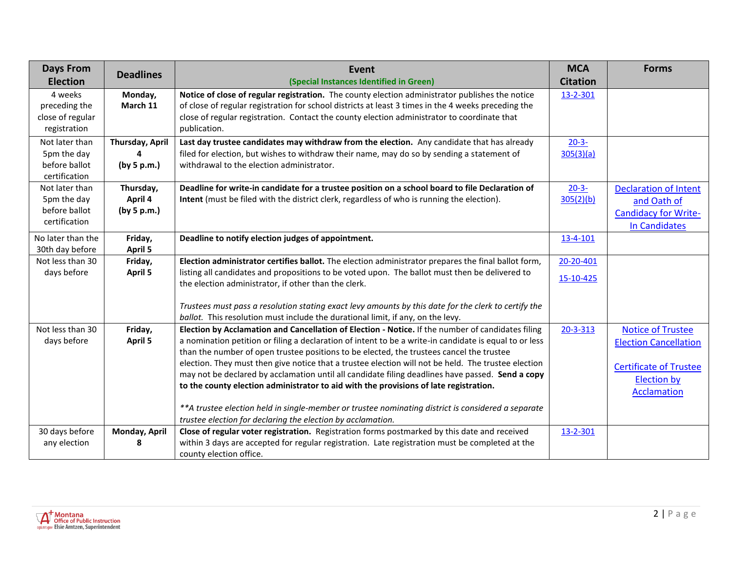| <b>Days From</b>  | <b>Deadlines</b> | Event                                                                                                                                                             | <b>MCA</b>      | <b>Forms</b>                  |
|-------------------|------------------|-------------------------------------------------------------------------------------------------------------------------------------------------------------------|-----------------|-------------------------------|
| <b>Election</b>   |                  | (Special Instances Identified in Green)                                                                                                                           | <b>Citation</b> |                               |
| 4 weeks           | Monday,          | Notice of close of regular registration. The county election administrator publishes the notice                                                                   | 13-2-301        |                               |
| preceding the     | March 11         | of close of regular registration for school districts at least 3 times in the 4 weeks preceding the                                                               |                 |                               |
| close of regular  |                  | close of regular registration. Contact the county election administrator to coordinate that                                                                       |                 |                               |
| registration      |                  | publication.                                                                                                                                                      |                 |                               |
| Not later than    | Thursday, April  | Last day trustee candidates may withdraw from the election. Any candidate that has already                                                                        | $20 - 3 -$      |                               |
| 5pm the day       |                  | filed for election, but wishes to withdraw their name, may do so by sending a statement of                                                                        | 305(3)(a)       |                               |
| before ballot     | (by 5 p.m.)      | withdrawal to the election administrator.                                                                                                                         |                 |                               |
| certification     |                  |                                                                                                                                                                   |                 |                               |
| Not later than    | Thursday,        | Deadline for write-in candidate for a trustee position on a school board to file Declaration of                                                                   | $20 - 3 -$      | <b>Declaration of Intent</b>  |
| 5pm the day       | April 4          | Intent (must be filed with the district clerk, regardless of who is running the election).                                                                        | 305(2)(b)       | and Oath of                   |
| before ballot     | (by 5 p.m.)      |                                                                                                                                                                   |                 | <b>Candidacy for Write-</b>   |
| certification     |                  |                                                                                                                                                                   |                 | <b>In Candidates</b>          |
| No later than the | Friday,          | Deadline to notify election judges of appointment.                                                                                                                | 13-4-101        |                               |
| 30th day before   | <b>April 5</b>   |                                                                                                                                                                   |                 |                               |
| Not less than 30  | Friday,          | Election administrator certifies ballot. The election administrator prepares the final ballot form,                                                               | 20-20-401       |                               |
| days before       | April 5          | listing all candidates and propositions to be voted upon. The ballot must then be delivered to                                                                    | 15-10-425       |                               |
|                   |                  | the election administrator, if other than the clerk.                                                                                                              |                 |                               |
|                   |                  | Trustees must pass a resolution stating exact levy amounts by this date for the clerk to certify the                                                              |                 |                               |
|                   |                  | ballot. This resolution must include the durational limit, if any, on the levy.                                                                                   |                 |                               |
| Not less than 30  | Friday,          | Election by Acclamation and Cancellation of Election - Notice. If the number of candidates filing                                                                 | 20-3-313        | <b>Notice of Trustee</b>      |
| days before       | April 5          | a nomination petition or filing a declaration of intent to be a write-in candidate is equal to or less                                                            |                 | <b>Election Cancellation</b>  |
|                   |                  | than the number of open trustee positions to be elected, the trustees cancel the trustee                                                                          |                 |                               |
|                   |                  | election. They must then give notice that a trustee election will not be held. The trustee election                                                               |                 | <b>Certificate of Trustee</b> |
|                   |                  | may not be declared by acclamation until all candidate filing deadlines have passed. Send a copy                                                                  |                 | <b>Election by</b>            |
|                   |                  | to the county election administrator to aid with the provisions of late registration.                                                                             |                 | <b>Acclamation</b>            |
|                   |                  |                                                                                                                                                                   |                 |                               |
|                   |                  | **A trustee election held in single-member or trustee nominating district is considered a separate<br>trustee election for declaring the election by acclamation. |                 |                               |
| 30 days before    | Monday, April    | Close of regular voter registration. Registration forms postmarked by this date and received                                                                      | 13-2-301        |                               |
| any election      | 8                | within 3 days are accepted for regular registration. Late registration must be completed at the                                                                   |                 |                               |
|                   |                  | county election office.                                                                                                                                           |                 |                               |
|                   |                  |                                                                                                                                                                   |                 |                               |

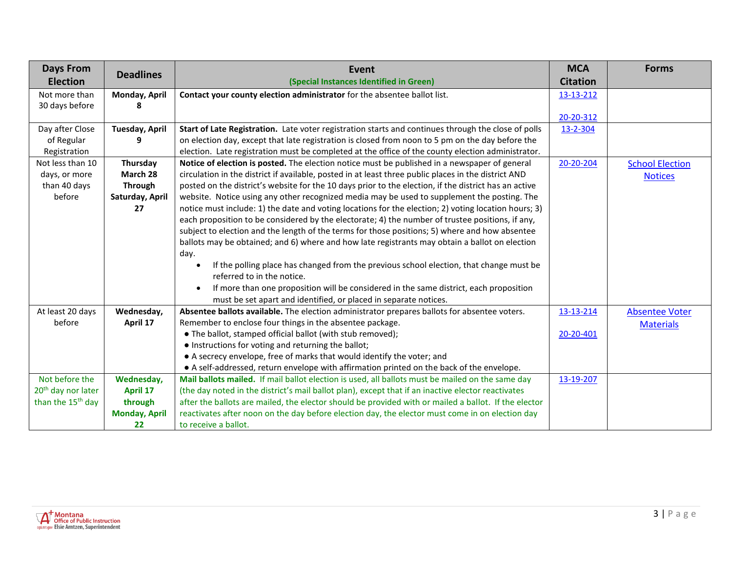| <b>Days From</b>               |                       | Event                                                                                                 | <b>MCA</b>      | <b>Forms</b>           |
|--------------------------------|-----------------------|-------------------------------------------------------------------------------------------------------|-----------------|------------------------|
| <b>Election</b>                | <b>Deadlines</b>      | (Special Instances Identified in Green)                                                               | <b>Citation</b> |                        |
| Not more than                  | Monday, April         | Contact your county election administrator for the absentee ballot list.                              | 13-13-212       |                        |
| 30 days before                 |                       |                                                                                                       |                 |                        |
|                                |                       |                                                                                                       | 20-20-312       |                        |
| Day after Close                | <b>Tuesday, April</b> | Start of Late Registration. Late voter registration starts and continues through the close of polls   | 13-2-304        |                        |
| of Regular                     | q                     | on election day, except that late registration is closed from noon to 5 pm on the day before the      |                 |                        |
| Registration                   |                       | election. Late registration must be completed at the office of the county election administrator.     |                 |                        |
| Not less than 10               | Thursday              | Notice of election is posted. The election notice must be published in a newspaper of general         | 20-20-204       | <b>School Election</b> |
| days, or more                  | March 28              | circulation in the district if available, posted in at least three public places in the district AND  |                 | <b>Notices</b>         |
| than 40 days                   | Through               | posted on the district's website for the 10 days prior to the election, if the district has an active |                 |                        |
| before                         | Saturday, April       | website. Notice using any other recognized media may be used to supplement the posting. The           |                 |                        |
|                                | 27                    | notice must include: 1) the date and voting locations for the election; 2) voting location hours; 3)  |                 |                        |
|                                |                       | each proposition to be considered by the electorate; 4) the number of trustee positions, if any,      |                 |                        |
|                                |                       | subject to election and the length of the terms for those positions; 5) where and how absentee        |                 |                        |
|                                |                       | ballots may be obtained; and 6) where and how late registrants may obtain a ballot on election        |                 |                        |
|                                |                       | day.                                                                                                  |                 |                        |
|                                |                       | If the polling place has changed from the previous school election, that change must be<br>$\bullet$  |                 |                        |
|                                |                       | referred to in the notice.                                                                            |                 |                        |
|                                |                       | If more than one proposition will be considered in the same district, each proposition<br>$\bullet$   |                 |                        |
|                                |                       | must be set apart and identified, or placed in separate notices.                                      |                 |                        |
| At least 20 days               | Wednesday,            | Absentee ballots available. The election administrator prepares ballots for absentee voters.          | 13-13-214       | <b>Absentee Voter</b>  |
| before                         | April 17              | Remember to enclose four things in the absentee package.                                              |                 | <b>Materials</b>       |
|                                |                       | • The ballot, stamped official ballot (with stub removed);                                            | 20-20-401       |                        |
|                                |                       | • Instructions for voting and returning the ballot;                                                   |                 |                        |
|                                |                       | • A secrecy envelope, free of marks that would identify the voter; and                                |                 |                        |
|                                |                       | • A self-addressed, return envelope with affirmation printed on the back of the envelope.             |                 |                        |
| Not before the                 | Wednesday,            | Mail ballots mailed. If mail ballot election is used, all ballots must be mailed on the same day      | 13-19-207       |                        |
| 20 <sup>th</sup> day nor later | <b>April 17</b>       | (the day noted in the district's mail ballot plan), except that if an inactive elector reactivates    |                 |                        |
| than the 15 <sup>th</sup> day  | through               | after the ballots are mailed, the elector should be provided with or mailed a ballot. If the elector  |                 |                        |
|                                | <b>Monday, April</b>  | reactivates after noon on the day before election day, the elector must come in on election day       |                 |                        |
|                                | 22                    | to receive a ballot.                                                                                  |                 |                        |

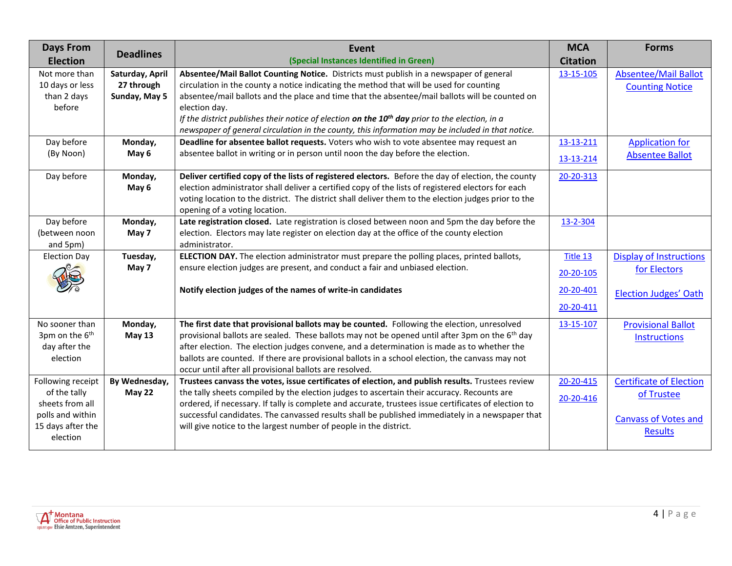| <b>Days From</b><br><b>Election</b> | <b>Deadlines</b> | Event<br>(Special Instances Identified in Green)                                                                                                                                                   | <b>MCA</b><br><b>Citation</b> | <b>Forms</b>                   |
|-------------------------------------|------------------|----------------------------------------------------------------------------------------------------------------------------------------------------------------------------------------------------|-------------------------------|--------------------------------|
| Not more than                       | Saturday, April  | Absentee/Mail Ballot Counting Notice. Districts must publish in a newspaper of general                                                                                                             | 13-15-105                     | <b>Absentee/Mail Ballot</b>    |
| 10 days or less                     | 27 through       | circulation in the county a notice indicating the method that will be used for counting                                                                                                            |                               |                                |
| than 2 days                         | Sunday, May 5    | absentee/mail ballots and the place and time that the absentee/mail ballots will be counted on                                                                                                     |                               | <b>Counting Notice</b>         |
| before                              |                  | election day.                                                                                                                                                                                      |                               |                                |
|                                     |                  | If the district publishes their notice of election on the $10^{th}$ day prior to the election, in a                                                                                                |                               |                                |
|                                     |                  | newspaper of general circulation in the county, this information may be included in that notice.                                                                                                   |                               |                                |
| Day before                          | Monday,          | Deadline for absentee ballot requests. Voters who wish to vote absentee may request an                                                                                                             | 13-13-211                     | <b>Application for</b>         |
| (By Noon)                           | May 6            | absentee ballot in writing or in person until noon the day before the election.                                                                                                                    | 13-13-214                     | <b>Absentee Ballot</b>         |
|                                     |                  |                                                                                                                                                                                                    |                               |                                |
| Day before                          | Monday,          | Deliver certified copy of the lists of registered electors. Before the day of election, the county                                                                                                 | 20-20-313                     |                                |
|                                     | May 6            | election administrator shall deliver a certified copy of the lists of registered electors for each                                                                                                 |                               |                                |
|                                     |                  | voting location to the district. The district shall deliver them to the election judges prior to the                                                                                               |                               |                                |
| Day before                          | Monday,          | opening of a voting location.<br>Late registration closed. Late registration is closed between noon and 5pm the day before the                                                                     | 13-2-304                      |                                |
| (between noon                       | May 7            | election. Electors may late register on election day at the office of the county election                                                                                                          |                               |                                |
| and 5pm)                            |                  | administrator.                                                                                                                                                                                     |                               |                                |
| <b>Election Day</b>                 | Tuesday,         | ELECTION DAY. The election administrator must prepare the polling places, printed ballots,                                                                                                         | Title 13                      | <b>Display of Instructions</b> |
|                                     | May 7            | ensure election judges are present, and conduct a fair and unbiased election.                                                                                                                      |                               | for Electors                   |
|                                     |                  |                                                                                                                                                                                                    | 20-20-105                     |                                |
|                                     |                  | Notify election judges of the names of write-in candidates                                                                                                                                         | 20-20-401                     | <b>Election Judges' Oath</b>   |
|                                     |                  |                                                                                                                                                                                                    | 20-20-411                     |                                |
| No sooner than                      | Monday,          | The first date that provisional ballots may be counted. Following the election, unresolved                                                                                                         | 13-15-107                     | <b>Provisional Ballot</b>      |
| 3pm on the 6 <sup>th</sup>          | <b>May 13</b>    | provisional ballots are sealed. These ballots may not be opened until after 3pm on the 6 <sup>th</sup> day                                                                                         |                               | <b>Instructions</b>            |
| day after the                       |                  | after election. The election judges convene, and a determination is made as to whether the                                                                                                         |                               |                                |
| election                            |                  | ballots are counted. If there are provisional ballots in a school election, the canvass may not                                                                                                    |                               |                                |
|                                     |                  | occur until after all provisional ballots are resolved.                                                                                                                                            |                               |                                |
| Following receipt                   | By Wednesday,    | Trustees canvass the votes, issue certificates of election, and publish results. Trustees review                                                                                                   | 20-20-415                     | <b>Certificate of Election</b> |
| of the tally<br>sheets from all     | <b>May 22</b>    | the tally sheets compiled by the election judges to ascertain their accuracy. Recounts are<br>ordered, if necessary. If tally is complete and accurate, trustees issue certificates of election to | 20-20-416                     | of Trustee                     |
| polls and within                    |                  | successful candidates. The canvassed results shall be published immediately in a newspaper that                                                                                                    |                               |                                |
| 15 days after the                   |                  | will give notice to the largest number of people in the district.                                                                                                                                  |                               | <b>Canvass of Votes and</b>    |
| election                            |                  |                                                                                                                                                                                                    |                               | <b>Results</b>                 |
|                                     |                  |                                                                                                                                                                                                    |                               |                                |

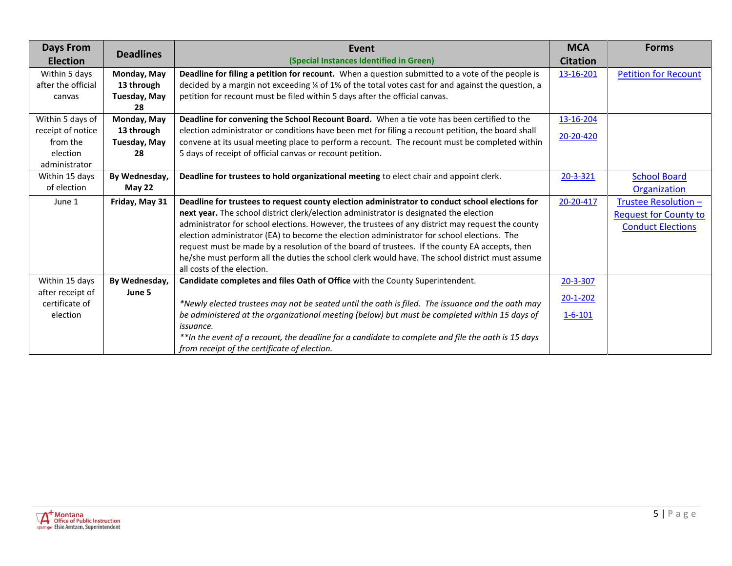| <b>Days From</b>   | <b>Deadlines</b>    | Event                                                                                               | <b>MCA</b>      | <b>Forms</b>                 |
|--------------------|---------------------|-----------------------------------------------------------------------------------------------------|-----------------|------------------------------|
| <b>Election</b>    |                     | (Special Instances Identified in Green)                                                             | <b>Citation</b> |                              |
| Within 5 days      | Monday, May         | Deadline for filing a petition for recount. When a question submitted to a vote of the people is    | 13-16-201       | <b>Petition for Recount</b>  |
| after the official | 13 through          | decided by a margin not exceeding 1/4 of 1% of the total votes cast for and against the question, a |                 |                              |
| canvas             | <b>Tuesday, May</b> | petition for recount must be filed within 5 days after the official canvas.                         |                 |                              |
|                    | 28                  |                                                                                                     |                 |                              |
| Within 5 days of   | Monday, May         | Deadline for convening the School Recount Board. When a tie vote has been certified to the          | 13-16-204       |                              |
| receipt of notice  | 13 through          | election administrator or conditions have been met for filing a recount petition, the board shall   | 20-20-420       |                              |
| from the           | Tuesday, May        | convene at its usual meeting place to perform a recount. The recount must be completed within       |                 |                              |
| election           | 28                  | 5 days of receipt of official canvas or recount petition.                                           |                 |                              |
| administrator      |                     |                                                                                                     |                 |                              |
| Within 15 days     | By Wednesday,       | Deadline for trustees to hold organizational meeting to elect chair and appoint clerk.              | $20 - 3 - 321$  | <b>School Board</b>          |
| of election        | <b>May 22</b>       |                                                                                                     |                 | Organization                 |
| June 1             | Friday, May 31      | Deadline for trustees to request county election administrator to conduct school elections for      | 20-20-417       | Trustee Resolution -         |
|                    |                     | next year. The school district clerk/election administrator is designated the election              |                 | <b>Request for County to</b> |
|                    |                     | administrator for school elections. However, the trustees of any district may request the county    |                 | <b>Conduct Elections</b>     |
|                    |                     | election administrator (EA) to become the election administrator for school elections. The          |                 |                              |
|                    |                     | request must be made by a resolution of the board of trustees. If the county EA accepts, then       |                 |                              |
|                    |                     | he/she must perform all the duties the school clerk would have. The school district must assume     |                 |                              |
|                    |                     | all costs of the election.                                                                          |                 |                              |
| Within 15 days     | By Wednesday,       | Candidate completes and files Oath of Office with the County Superintendent.                        | $20 - 3 - 307$  |                              |
| after receipt of   | June 5              |                                                                                                     | $20 - 1 - 202$  |                              |
| certificate of     |                     | *Newly elected trustees may not be seated until the oath is filed. The issuance and the oath may    |                 |                              |
| election           |                     | be administered at the organizational meeting (below) but must be completed within 15 days of       | $1 - 6 - 101$   |                              |
|                    |                     | <i>issuance.</i>                                                                                    |                 |                              |
|                    |                     | ** In the event of a recount, the deadline for a candidate to complete and file the oath is 15 days |                 |                              |
|                    |                     | from receipt of the certificate of election.                                                        |                 |                              |